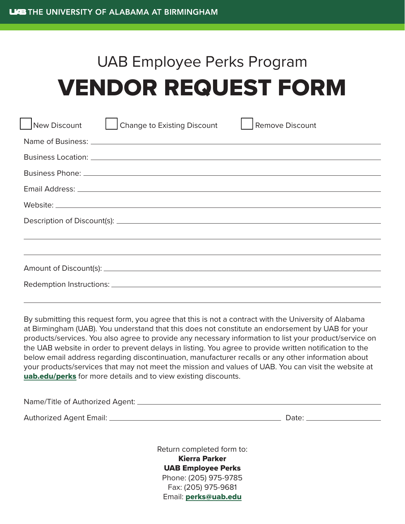## UAB Employee Perks Program VENDOR REQUEST FORM

|                                                                                                                     | New Discount |  | Change to Existing Discount |  | Remove Discount |  |  |
|---------------------------------------------------------------------------------------------------------------------|--------------|--|-----------------------------|--|-----------------|--|--|
|                                                                                                                     |              |  |                             |  |                 |  |  |
|                                                                                                                     |              |  |                             |  |                 |  |  |
|                                                                                                                     |              |  |                             |  |                 |  |  |
| Email Address: North American Commission and Commission and Commission and Commission and Commission and Commission |              |  |                             |  |                 |  |  |
|                                                                                                                     |              |  |                             |  |                 |  |  |
|                                                                                                                     |              |  |                             |  |                 |  |  |
|                                                                                                                     |              |  |                             |  |                 |  |  |
|                                                                                                                     |              |  |                             |  |                 |  |  |
|                                                                                                                     |              |  |                             |  |                 |  |  |
|                                                                                                                     |              |  |                             |  |                 |  |  |

By submitting this request form, you agree that this is not a contract with the University of Alabama at Birmingham (UAB). You understand that this does not constitute an endorsement by UAB for your products/services. You also agree to provide any necessary information to list your product/service on the UAB website in order to prevent delays in listing. You agree to provide written notification to the below email address regarding discontinuation, manufacturer recalls or any other information about your products/services that may not meet the mission and values of UAB. You can visit the website at [uab.edu/perks](https://www.uab.edu/humanresources/home/benefits/perks) for more details and to view existing discounts.

| Name/Title of Authorized Agent: _ |       |
|-----------------------------------|-------|
| Authorized Agent Email:           | Date: |

Return completed form to: Kierra Parker UAB Employee Perks Phone: (205) 975-9785 Fax: (205) 975-9681 Email: [perks@uab.edu](mailto:perks@uab.edu)